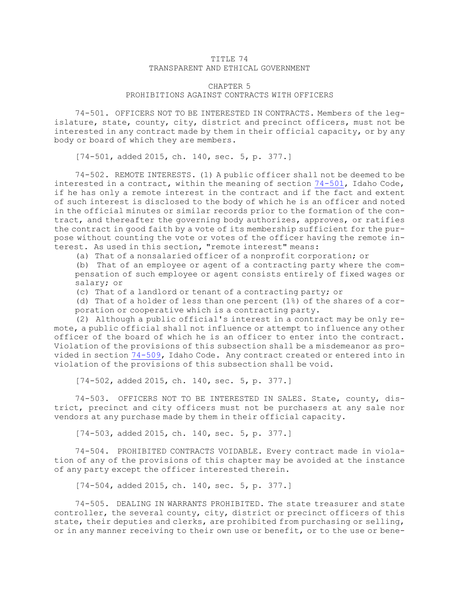## TITLE 74 TRANSPARENT AND ETHICAL GOVERNMENT

## CHAPTER 5 PROHIBITIONS AGAINST CONTRACTS WITH OFFICERS

74-501. OFFICERS NOT TO BE INTERESTED IN CONTRACTS. Members of the legislature, state, county, city, district and precinct officers, must not be interested in any contract made by them in their official capacity, or by any body or board of which they are members.

[74-501, added 2015, ch. 140, sec. 5, p. 377.]

74-502. REMOTE INTERESTS. (1) <sup>A</sup> public officer shall not be deemed to be interested in <sup>a</sup> contract, within the meaning of section [74-501](https://legislature.idaho.gov/statutesrules/idstat/Title74/T74CH5/SECT74-501), Idaho Code, if he has only <sup>a</sup> remote interest in the contract and if the fact and extent of such interest is disclosed to the body of which he is an officer and noted in the official minutes or similar records prior to the formation of the contract, and thereafter the governing body authorizes, approves, or ratifies the contract in good faith by <sup>a</sup> vote of its membership sufficient for the purpose without counting the vote or votes of the officer having the remote interest. As used in this section, "remote interest" means:

(a) That of <sup>a</sup> nonsalaried officer of <sup>a</sup> nonprofit corporation; or

(b) That of an employee or agent of <sup>a</sup> contracting party where the compensation of such employee or agent consists entirely of fixed wages or salary; or

(c) That of <sup>a</sup> landlord or tenant of <sup>a</sup> contracting party; or

(d) That of <sup>a</sup> holder of less than one percent (1%) of the shares of <sup>a</sup> corporation or cooperative which is <sup>a</sup> contracting party.

(2) Although <sup>a</sup> public official's interest in <sup>a</sup> contract may be only remote, <sup>a</sup> public official shall not influence or attempt to influence any other officer of the board of which he is an officer to enter into the contract. Violation of the provisions of this subsection shall be <sup>a</sup> misdemeanor as provided in section [74-509](https://legislature.idaho.gov/statutesrules/idstat/Title74/T74CH5/SECT74-509), Idaho Code. Any contract created or entered into in violation of the provisions of this subsection shall be void.

[74-502, added 2015, ch. 140, sec. 5, p. 377.]

74-503. OFFICERS NOT TO BE INTERESTED IN SALES. State, county, district, precinct and city officers must not be purchasers at any sale nor vendors at any purchase made by them in their official capacity.

[74-503, added 2015, ch. 140, sec. 5, p. 377.]

74-504. PROHIBITED CONTRACTS VOIDABLE. Every contract made in violation of any of the provisions of this chapter may be avoided at the instance of any party except the officer interested therein.

[74-504, added 2015, ch. 140, sec. 5, p. 377.]

74-505. DEALING IN WARRANTS PROHIBITED. The state treasurer and state controller, the several county, city, district or precinct officers of this state, their deputies and clerks, are prohibited from purchasing or selling, or in any manner receiving to their own use or benefit, or to the use or bene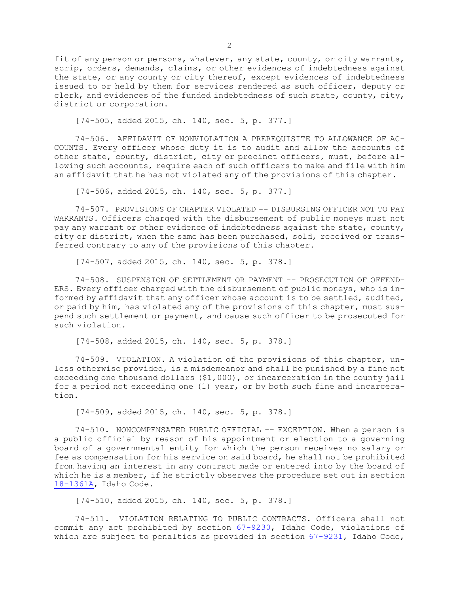fit of any person or persons, whatever, any state, county, or city warrants, scrip, orders, demands, claims, or other evidences of indebtedness against the state, or any county or city thereof, except evidences of indebtedness issued to or held by them for services rendered as such officer, deputy or clerk, and evidences of the funded indebtedness of such state, county, city, district or corporation.

[74-505, added 2015, ch. 140, sec. 5, p. 377.]

74-506. AFFIDAVIT OF NONVIOLATION A PREREQUISITE TO ALLOWANCE OF AC-COUNTS. Every officer whose duty it is to audit and allow the accounts of other state, county, district, city or precinct officers, must, before allowing such accounts, require each of such officers to make and file with him an affidavit that he has not violated any of the provisions of this chapter.

[74-506, added 2015, ch. 140, sec. 5, p. 377.]

74-507. PROVISIONS OF CHAPTER VIOLATED -- DISBURSING OFFICER NOT TO PAY WARRANTS. Officers charged with the disbursement of public moneys must not pay any warrant or other evidence of indebtedness against the state, county, city or district, when the same has been purchased, sold, received or transferred contrary to any of the provisions of this chapter.

[74-507, added 2015, ch. 140, sec. 5, p. 378.]

74-508. SUSPENSION OF SETTLEMENT OR PAYMENT -- PROSECUTION OF OFFEND-ERS. Every officer charged with the disbursement of public moneys, who is informed by affidavit that any officer whose account is to be settled, audited, or paid by him, has violated any of the provisions of this chapter, must suspend such settlement or payment, and cause such officer to be prosecuted for such violation.

[74-508, added 2015, ch. 140, sec. 5, p. 378.]

74-509. VIOLATION. <sup>A</sup> violation of the provisions of this chapter, unless otherwise provided, is <sup>a</sup> misdemeanor and shall be punished by <sup>a</sup> fine not exceeding one thousand dollars (\$1,000), or incarceration in the county jail for <sup>a</sup> period not exceeding one (1) year, or by both such fine and incarceration.

[74-509, added 2015, ch. 140, sec. 5, p. 378.]

74-510. NONCOMPENSATED PUBLIC OFFICIAL -- EXCEPTION. When <sup>a</sup> person is <sup>a</sup> public official by reason of his appointment or election to <sup>a</sup> governing board of <sup>a</sup> governmental entity for which the person receives no salary or fee as compensation for his service on said board, he shall not be prohibited from having an interest in any contract made or entered into by the board of which he is <sup>a</sup> member, if he strictly observes the procedure set out in section [18-1361A](https://legislature.idaho.gov/statutesrules/idstat/Title18/T18CH13/SECT18-1361A), Idaho Code.

[74-510, added 2015, ch. 140, sec. 5, p. 378.]

74-511. VIOLATION RELATING TO PUBLIC CONTRACTS. Officers shall not commit any act prohibited by section [67-9230](https://legislature.idaho.gov/statutesrules/idstat/Title67/T67CH92/SECT67-9230), Idaho Code, violations of which are subject to penalties as provided in section [67-9231](https://legislature.idaho.gov/statutesrules/idstat/Title67/T67CH92/SECT67-9231), Idaho Code,